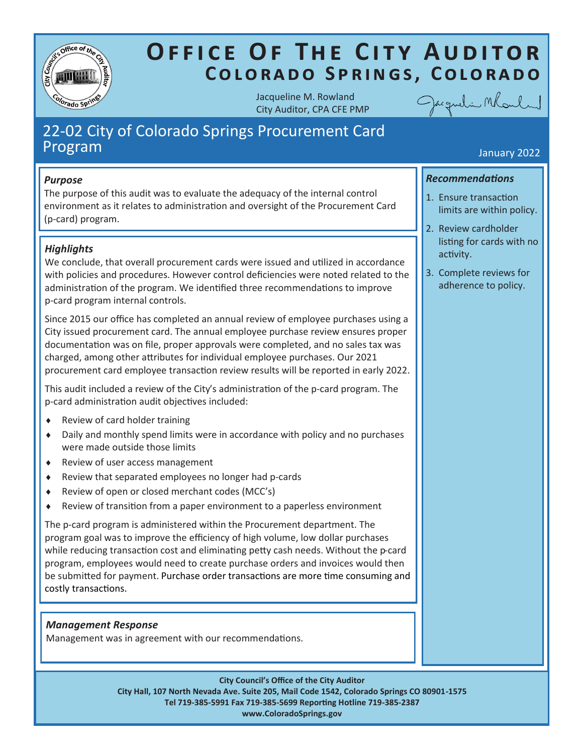

# **OFFICE OF THE CITY AUDITOR** COLORADO SPRINGS, COLORADO

Jacqueline M. Rowland City Auditor, CPA CFE PMP



# 22-02 City of Colorado Springs Procurement Card Program January 2022

### *Purpose*

The purpose of this audit was to evaluate the adequacy of the internal control environment as it relates to administration and oversight of the Procurement Card (p-card) program.

# *Highlights*

We conclude, that overall procurement cards were issued and utilized in accordance with policies and procedures. However control deficiencies were noted related to the administration of the program. We identified three recommendations to improve p-card program internal controls.

Since 2015 our office has completed an annual review of employee purchases using a City issued procurement card. The annual employee purchase review ensures proper documentation was on file, proper approvals were completed, and no sales tax was charged, among other attributes for individual employee purchases. Our 2021 procurement card employee transaction review results will be reported in early 2022.

This audit included a review of the City's administration of the p-card program. The p-card administration audit objectives included:

- Review of card holder training
- Daily and monthly spend limits were in accordance with policy and no purchases were made outside those limits
- ◆ Review of user access management
- Review that separated employees no longer had p-cards
- Review of open or closed merchant codes (MCC's)
- Review of transition from a paper environment to a paperless environment

The p-card program is administered within the Procurement department. The program goal was to improve the efficiency of high volume, low dollar purchases while reducing transaction cost and eliminating petty cash needs. Without the p-card program, employees would need to create purchase orders and invoices would then be submitted for payment. Purchase order transactions are more time consuming and costly transactions.

### *Management Response*

Management was in agreement with our recommendations.

**City Council's Office of the City Auditor City Hall, 107 North Nevada Ave. Suite 205, Mail Code 1542, Colorado Springs CO 80901-1575 Tel 719-385-5991 Fax 719-385-5699 Reporting Hotline 719-385-2387 www.ColoradoSprings.gov**

## *Recommendations*

- 1. Ensure transaction limits are within policy.
- 2. Review cardholder listing for cards with no activity.
- 3. Complete reviews for adherence to policy.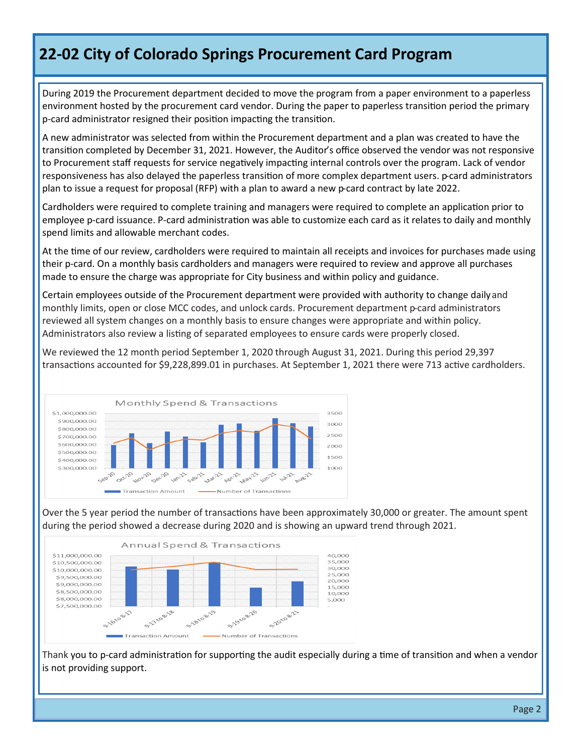# **22-02 City of Colorado Springs Procurement Card Program**

During 2019 the Procurement department decided to move the program from a paper environment to a paperless environment hosted by the procurement card vendor. During the paper to paperless transition period the primary p-card administrator resigned their position impacting the transition.

A new administrator was selected from within the Procurement department and a plan was created to have the transition completed by December 31, 2021. However, the Auditor's office observed the vendor was not responsive to Procurement staff requests for service negatively impacting internal controls over the program. Lack of vendor responsiveness has also delayed the paperless transition of more complex department users. p-card administrators plan to issue a request for proposal (RFP) with a plan to award a new p-card contract by late 2022.

Cardholders were required to complete training and managers were required to complete an application prior to employee p-card issuance. P-card administration was able to customize each card as it relates to daily and monthly spend limits and allowable merchant codes.

At the time of our review, cardholders were required to maintain all receipts and invoices for purchases made using their p-card. On a monthly basis cardholders and managers were required to review and approve all purchases made to ensure the charge was appropriate for City business and within policy and guidance.

Certain employees outside of the Procurement department were provided with authority to change daily and monthly limits, open or close MCC codes, and unlock cards. Procurement department p-card administrators reviewed all system changes on a monthly basis to ensure changes were appropriate and within policy. Administrators also review a listing of separated employees to ensure cards were properly closed.

We reviewed the 12 month period September 1, 2020 through August 31, 2021. During this period 29,397 transactions accounted for \$9,228,899.01 in purchases. At September 1, 2021 there were 713 active cardholders.



Over the 5 year period the number of transactions have been approximately 30,000 or greater. The amount spent during the period showed a decrease during 2020 and is showing an upward trend through 2021.



Thank you to p-card administration for supporting the audit especially during a time of transition and when a vendor is not providing support.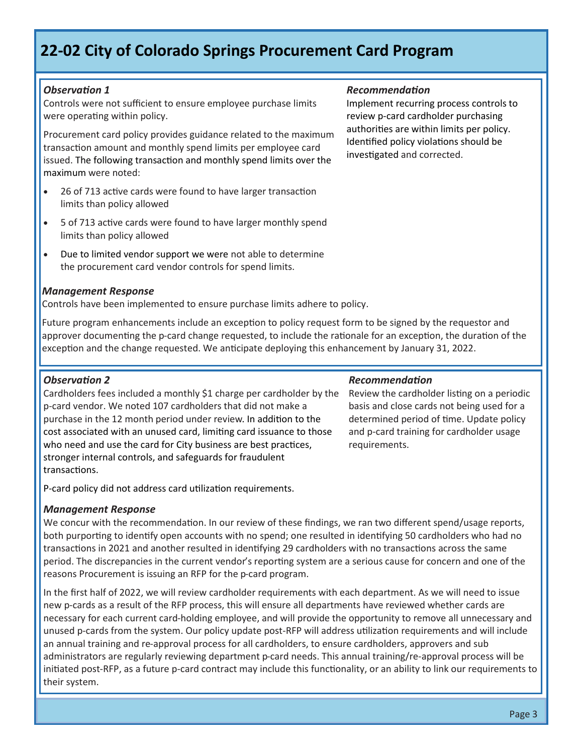# **22-02 City of Colorado Springs Procurement Card Program**

### *Observation 1*

Controls were not sufficient to ensure employee purchase limits were operating within policy.

Procurement card policy provides guidance related to the maximum transaction amount and monthly spend limits per employee card issued. The following transaction and monthly spend limits over the maximum were noted:

- 26 of 713 active cards were found to have larger transaction limits than policy allowed
- 5 of 713 active cards were found to have larger monthly spend limits than policy allowed
- Due to limited vendor support we were not able to determine the procurement card vendor controls for spend limits.

#### *Management Response*

Controls have been implemented to ensure purchase limits adhere to policy.

Future program enhancements include an exception to policy request form to be signed by the requestor and approver documenting the p-card change requested, to include the rationale for an exception, the duration of the exception and the change requested. We anticipate deploying this enhancement by January 31, 2022.

#### *Observation 2*

Cardholders fees included a monthly \$1 charge per cardholder by the p-card vendor. We noted 107 cardholders that did not make a purchase in the 12 month period under review. In addition to the cost associated with an unused card, limiting card issuance to those who need and use the card for City business are best practices, stronger internal controls, and safeguards for fraudulent transactions.

P-card policy did not address card utilization requirements.

#### *Management Response*

We concur with the recommendation. In our review of these findings, we ran two different spend/usage reports, both purporting to identify open accounts with no spend; one resulted in identifying 50 cardholders who had no transactions in 2021 and another resulted in identifying 29 cardholders with no transactions across the same period. The discrepancies in the current vendor's reporting system are a serious cause for concern and one of the reasons Procurement is issuing an RFP for the p-card program.

In the first half of 2022, we will review cardholder requirements with each department. As we will need to issue new p-cards as a result of the RFP process, this will ensure all departments have reviewed whether cards are necessary for each current card-holding employee, and will provide the opportunity to remove all unnecessary and unused p-cards from the system. Our policy update post-RFP will address utilization requirements and will include an annual training and re-approval process for all cardholders, to ensure cardholders, approvers and sub administrators are regularly reviewing department p-card needs. This annual training/re-approval process will be initiated post-RFP, as a future p-card contract may include this functionality, or an ability to link our requirements to their system.

#### *Recommendation*

Implement recurring process controls to review p-card cardholder purchasing authorities are within limits per policy. Identified policy violations should be investigated and corrected.

#### *Recommendation*

Review the cardholder listing on a periodic basis and close cards not being used for a determined period of time. Update policy and p-card training for cardholder usage requirements.